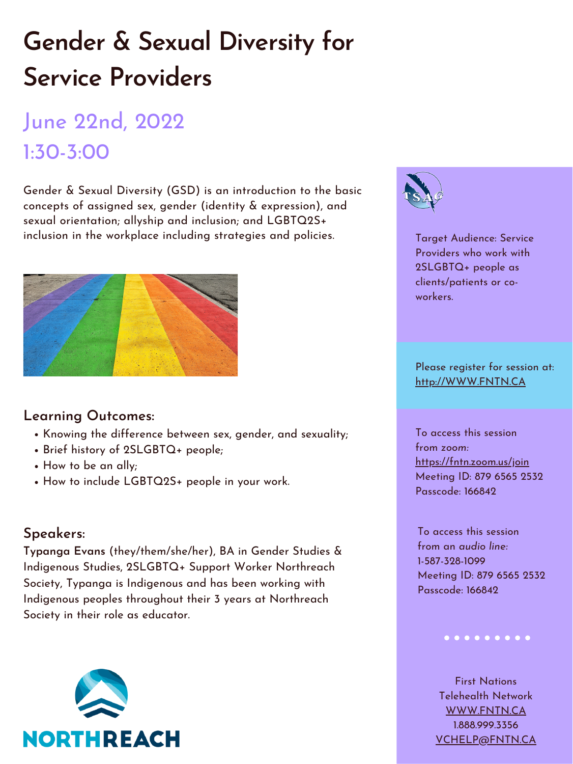# **Gender & Sexual Diversity for Service Providers**

## June 22nd, 2022 1:30-3:00

Gender & Sexual Diversity (GSD) is an introduction to the basic concepts of assigned sex, gender (identity & expression), and sexual orientation; allyship and inclusion; and LGBTQ2S+ inclusion in the workplace including strategies and policies.





- Knowing the difference between sex, gender, and sexuality;
- Brief history of 2SLGBTQ+ people;
- How to be an ally;
- How to include LGBTQ2S+ people in your work.

#### **Learning Outcomes:**

### **Speakers:**

**Typanga Evans** (they/them/she/her), BA in Gender Studies & Indigenous Studies, 2SLGBTQ+ Support Worker Northreach Society, Typanga is Indigenous and has been working with Indigenous peoples throughout their 3 years at Northreach Society in their role as educator.



Target Audience: Service Providers who work with 2SLGBTQ+ people as clients/patients or coworkers.

Please register for session at: [http://WWW.FNTN.CA](https://fntn.ca/Home/Register-VC?eid=19192)

To access this session from *zoom:* [https://fntn.zoom.us/join](https://fntn.zoom.us/j/87965652532) Meeting ID: 879 6565 2532 Passcode: 166842

To access this session from an *audio line:* 1-587-328-1099 Meeting ID: 879 6565 2532 Passcode: 166842

#### 

First Nations Telehealth Network [WWW.FNTN.CA](https://fntn.ca/) 1.888.999.3356 VCHELP@FNTN.CA